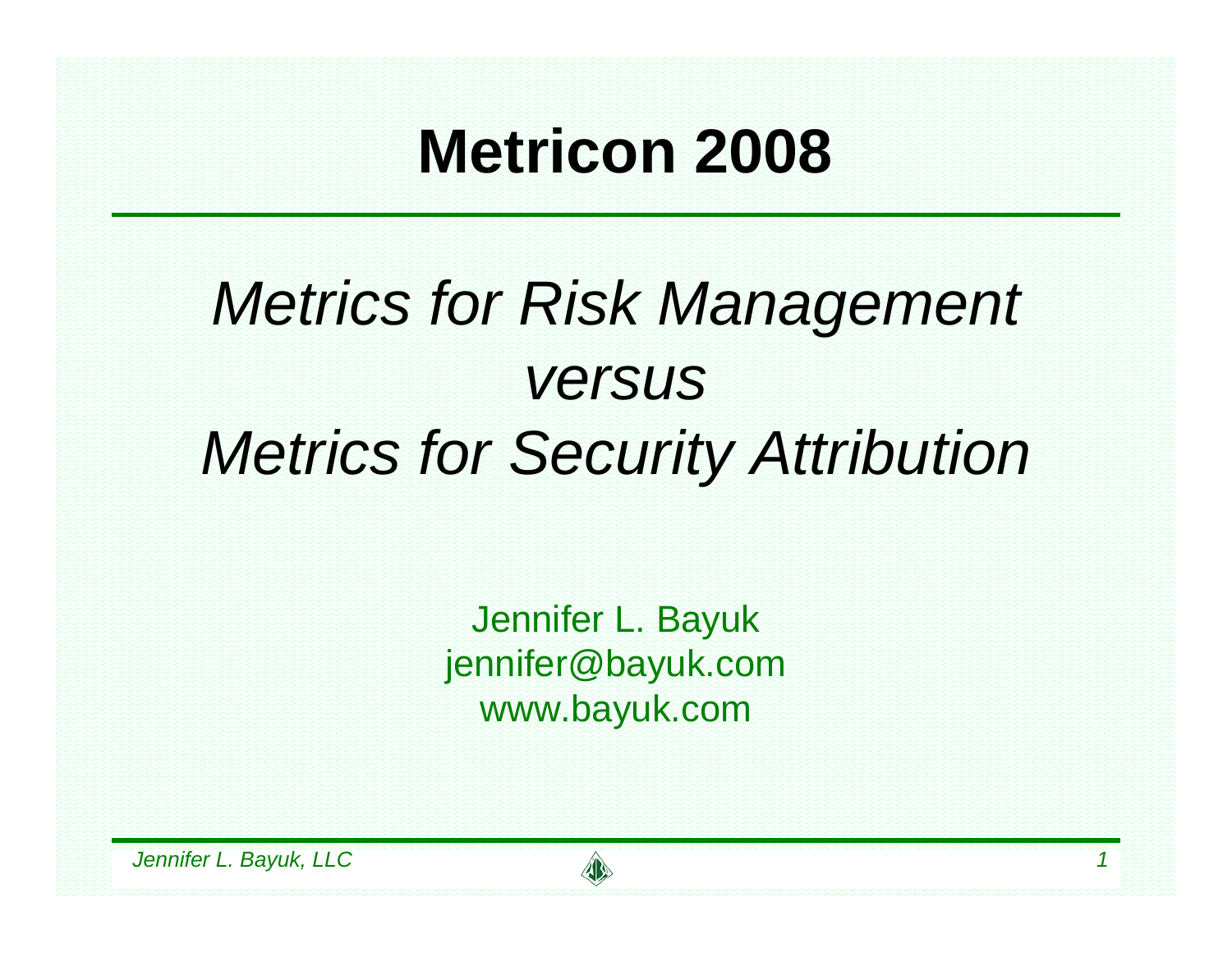#### **Metricon 2008**

#### *Metrics for Risk Management versus Metrics for Security Attribution*

Jennifer L. Bayuk jennifer@bayuk.com www.bayuk.com

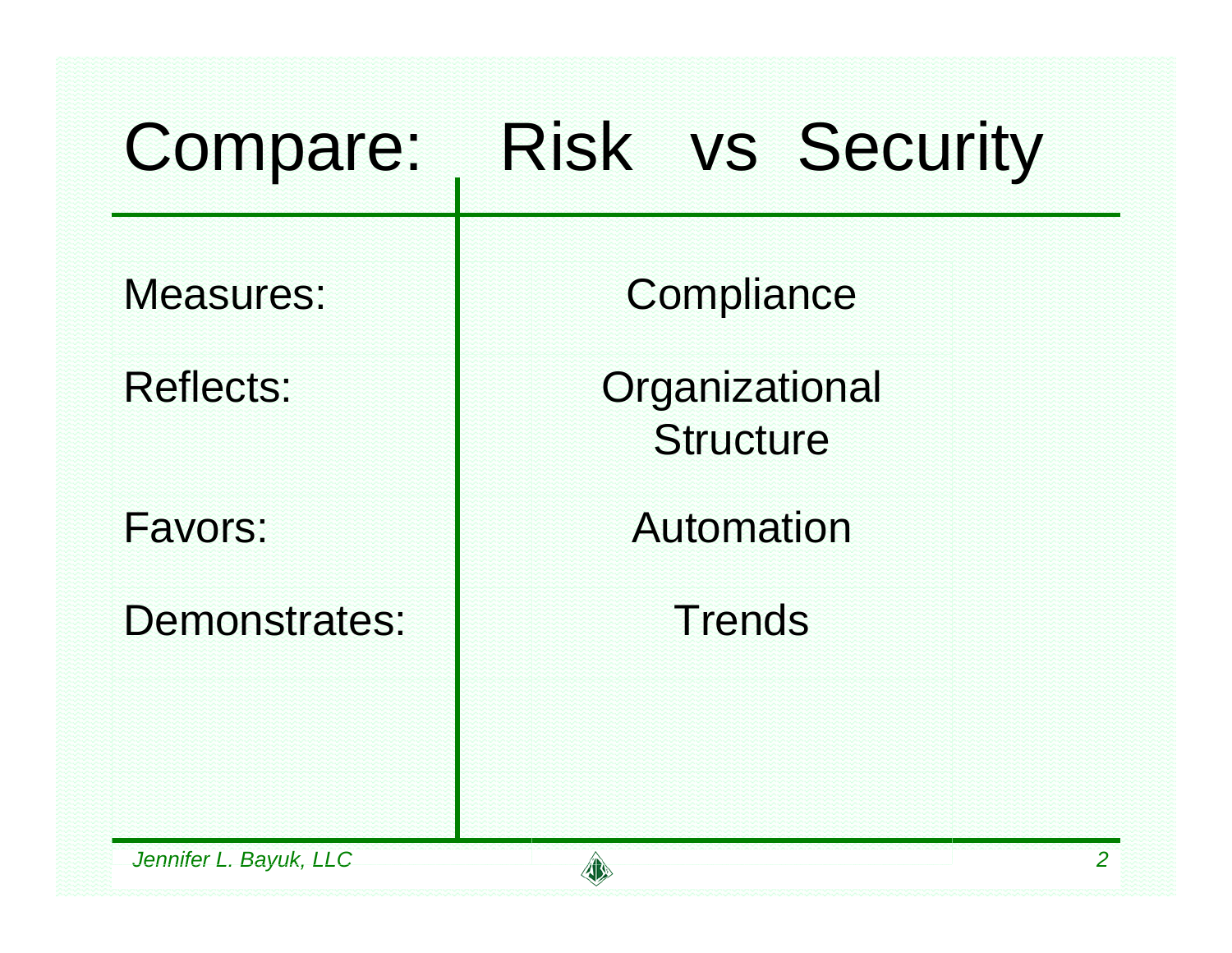| Compare:               | <b>Risk vs Security</b>            |  |
|------------------------|------------------------------------|--|
| <b>Measures:</b>       | Compliance                         |  |
| <b>Reflects:</b>       | Organizational<br><b>Structure</b> |  |
| Favors:                | Automation                         |  |
| Demonstrates:          | <b>Trends</b>                      |  |
| Jennifer L. Bayuk, LLC | $\overline{2}$                     |  |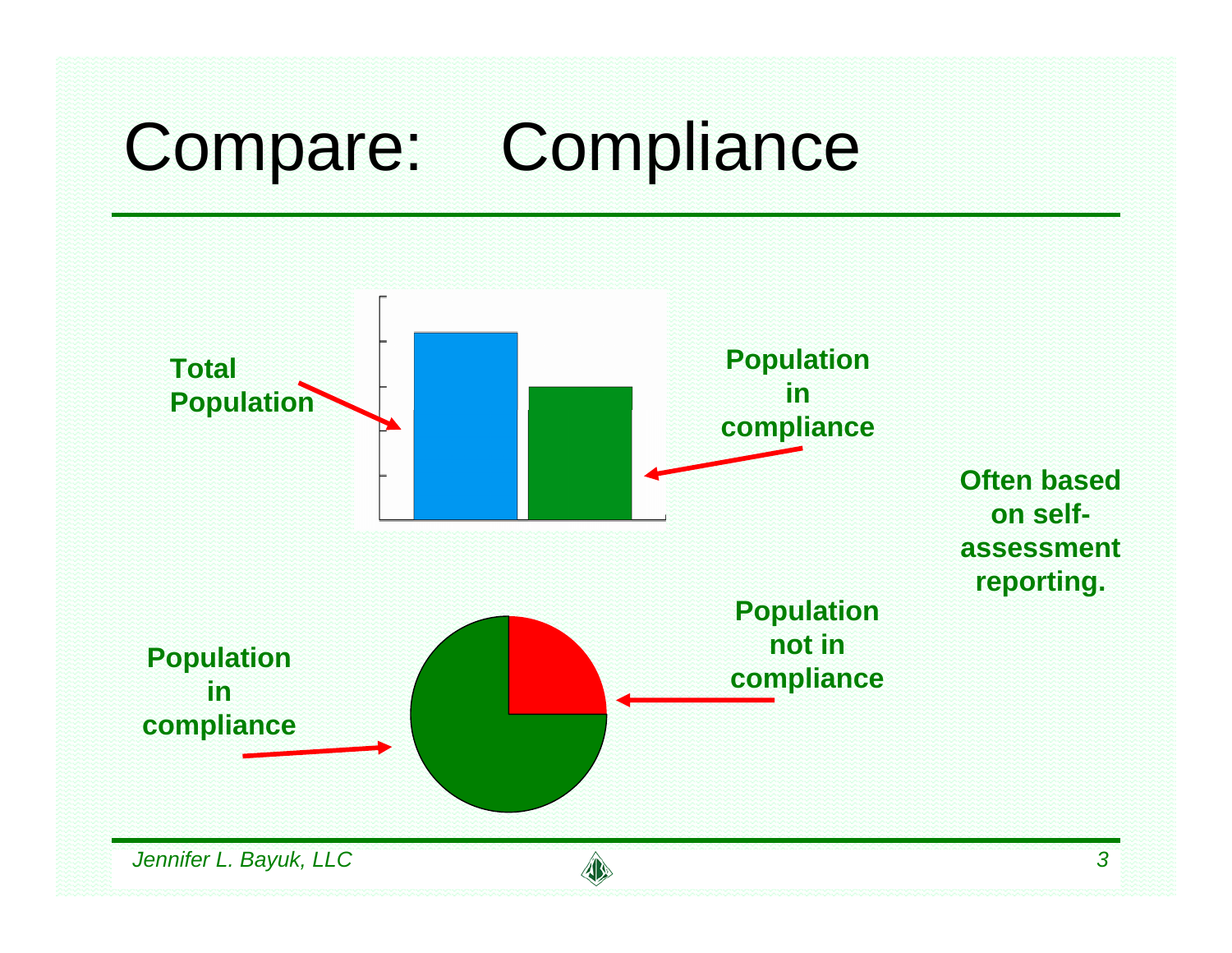# Compare: Compliance

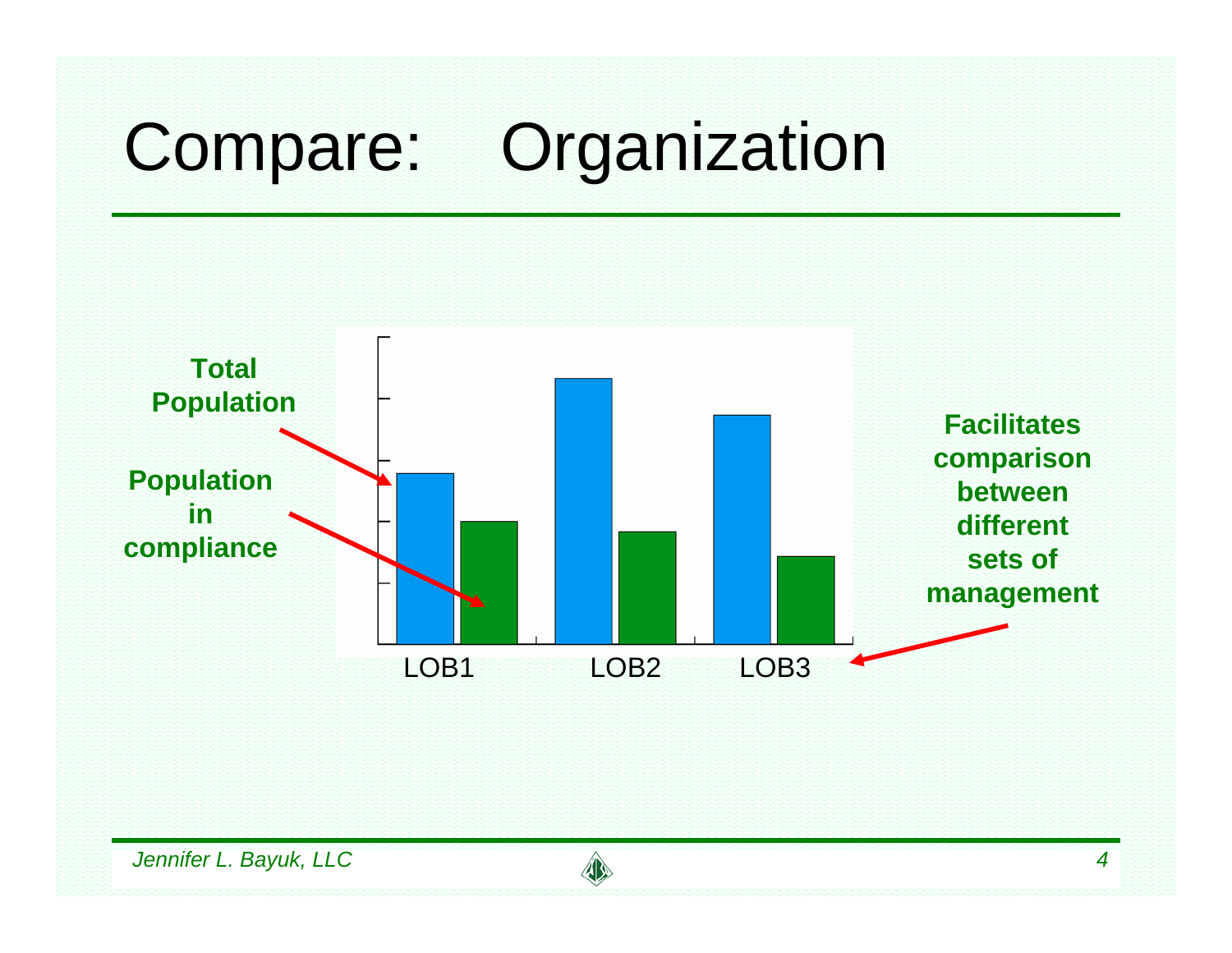# Compare: Organization

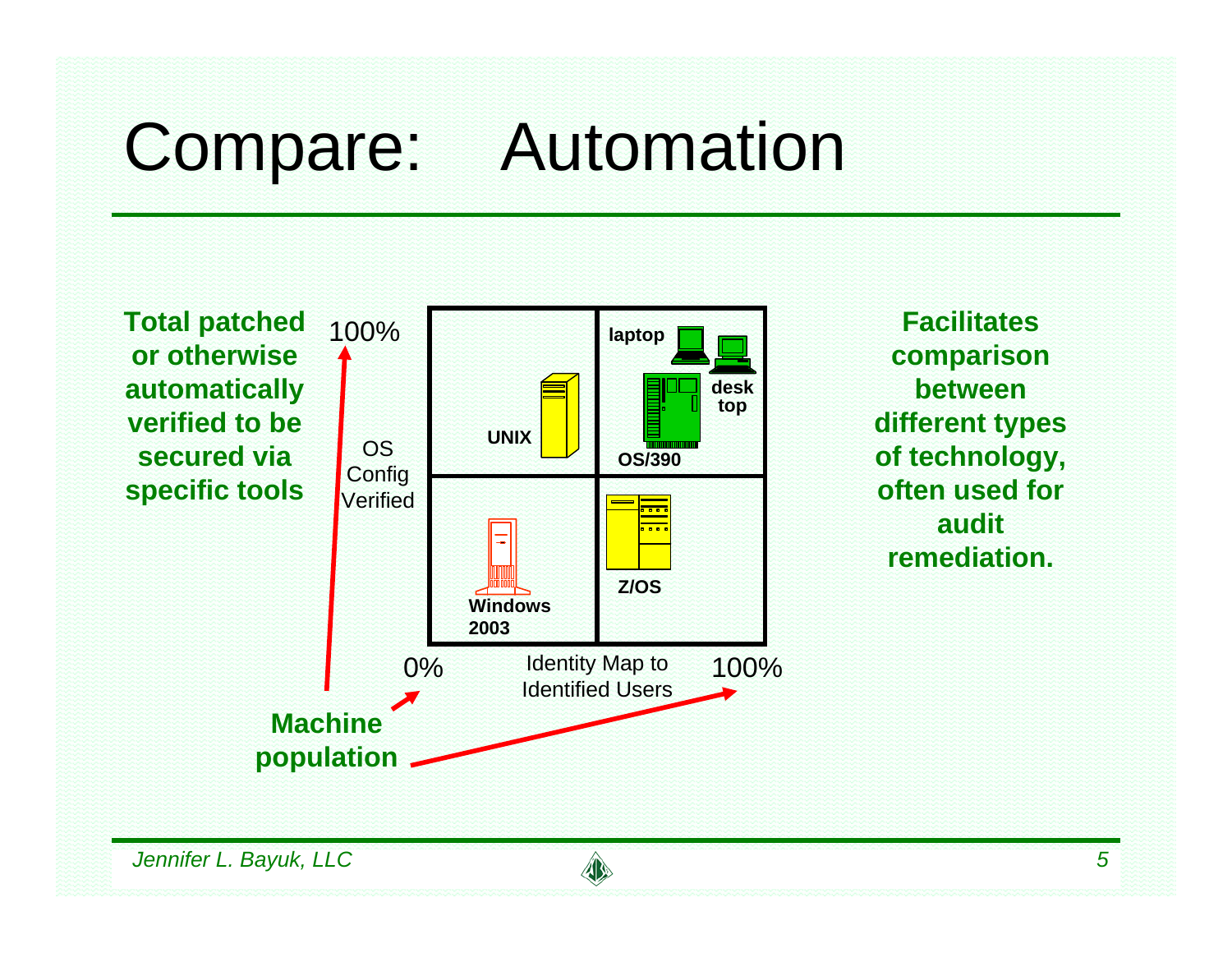### Compare: Automation



**Facilitates comparison between different types of technology, often used for audit remediation.**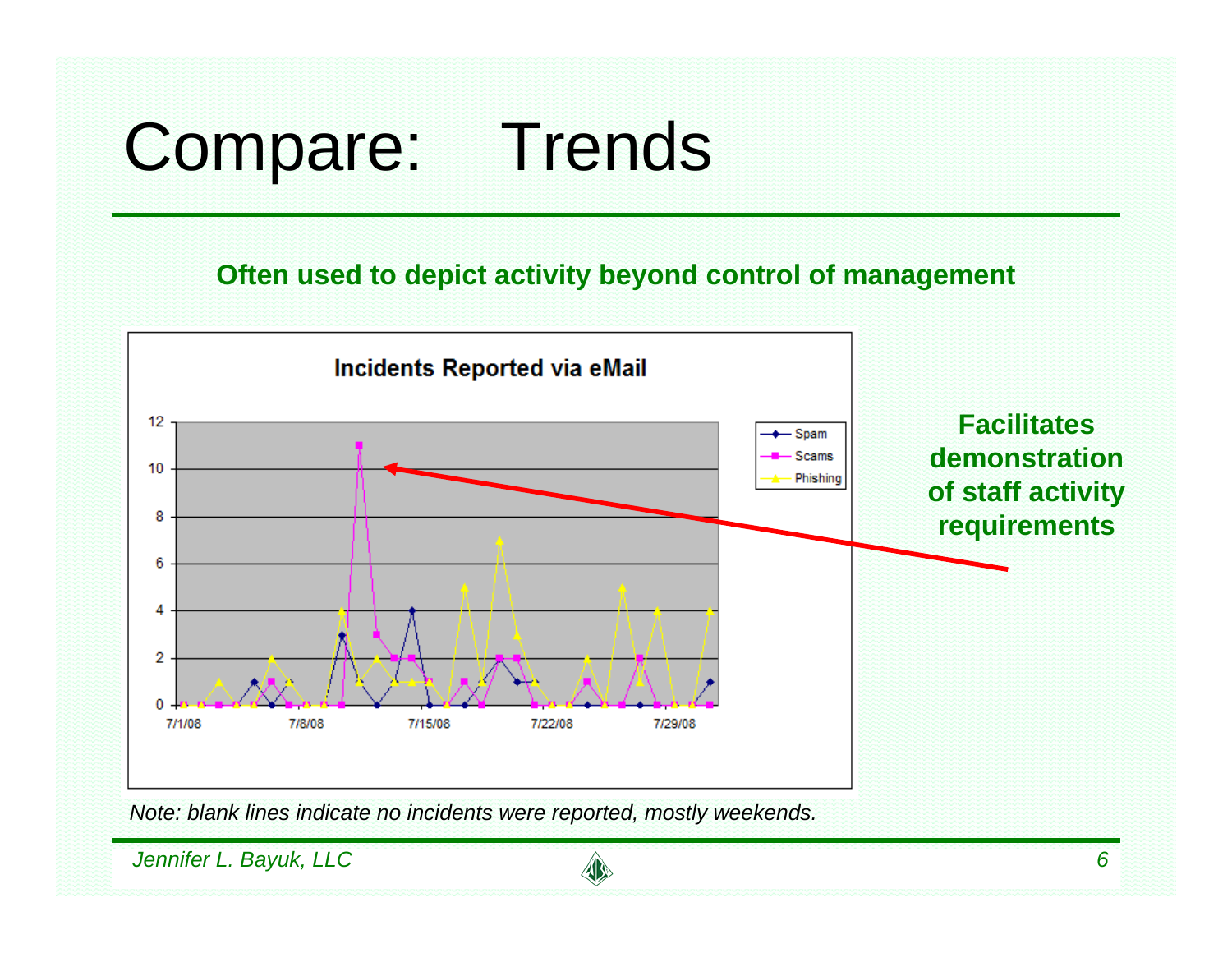# Compare: Trends

**Often used to depict activity beyond control of management**



*Note: blank lines indicate no incidents were reported, mostly weekends.*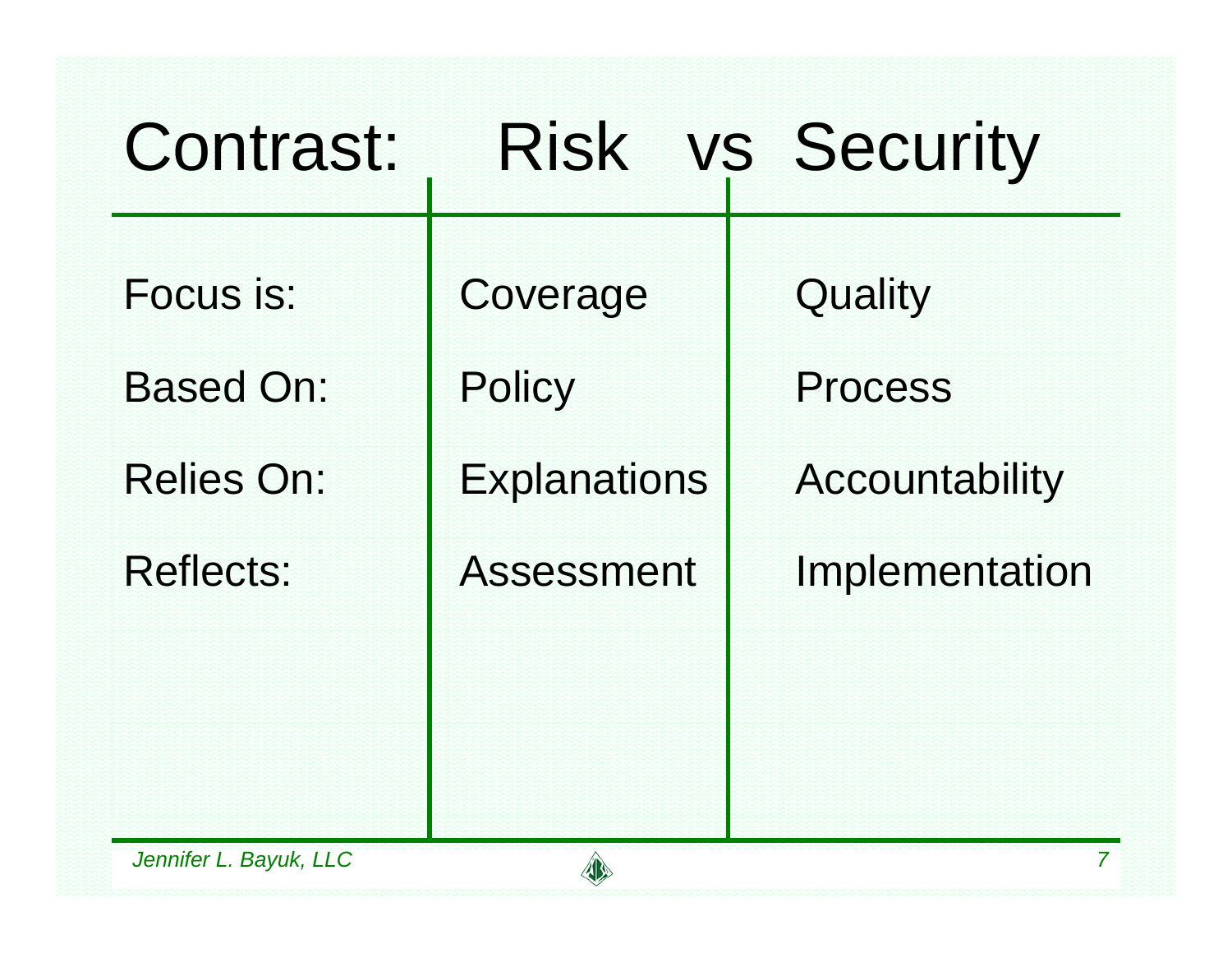| Contrast:                     |                           | Risk vs Security          |
|-------------------------------|---------------------------|---------------------------|
| Focus is:<br><b>Based On:</b> | Coverage<br><b>Policy</b> | Quality<br><b>Process</b> |
| <b>Relies On:</b>             | <b>Explanations</b>       | Accountability            |
| <b>Reflects:</b>              | <b>Assessment</b>         | Implementation            |
|                               |                           |                           |
| Jennifer L. Bayuk, LLC        |                           | 7                         |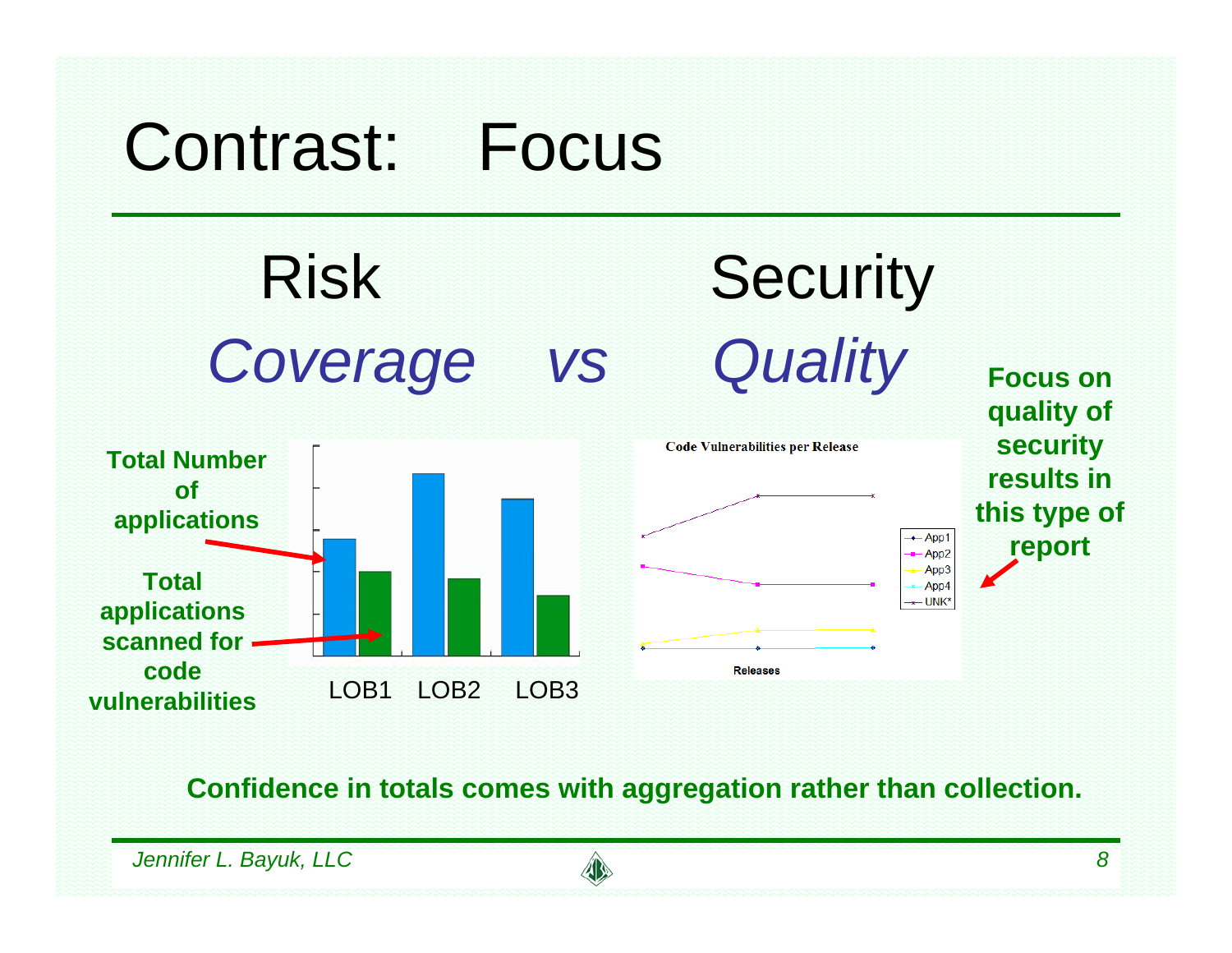

**Confidence in totals comes with aggregation rather than collection.**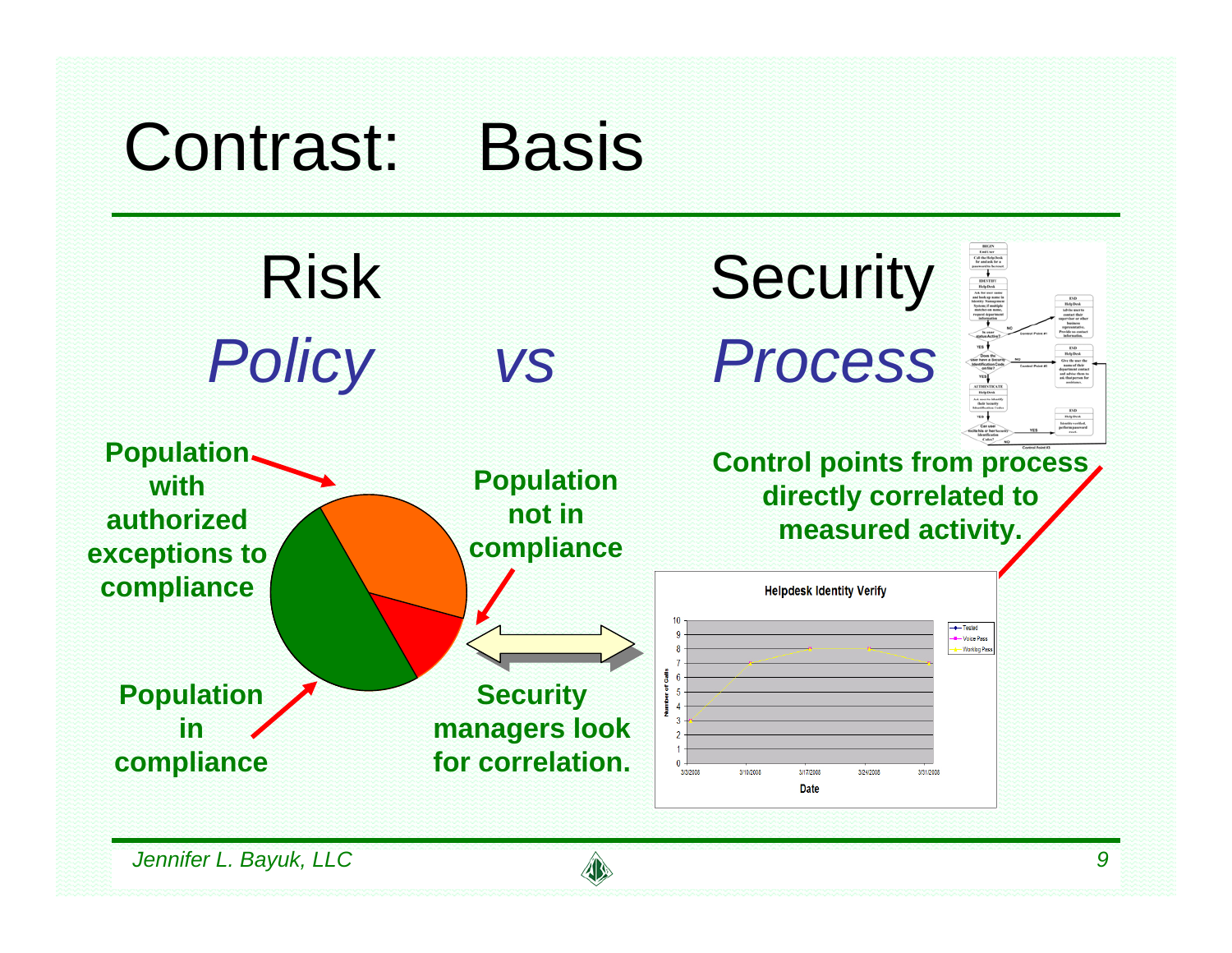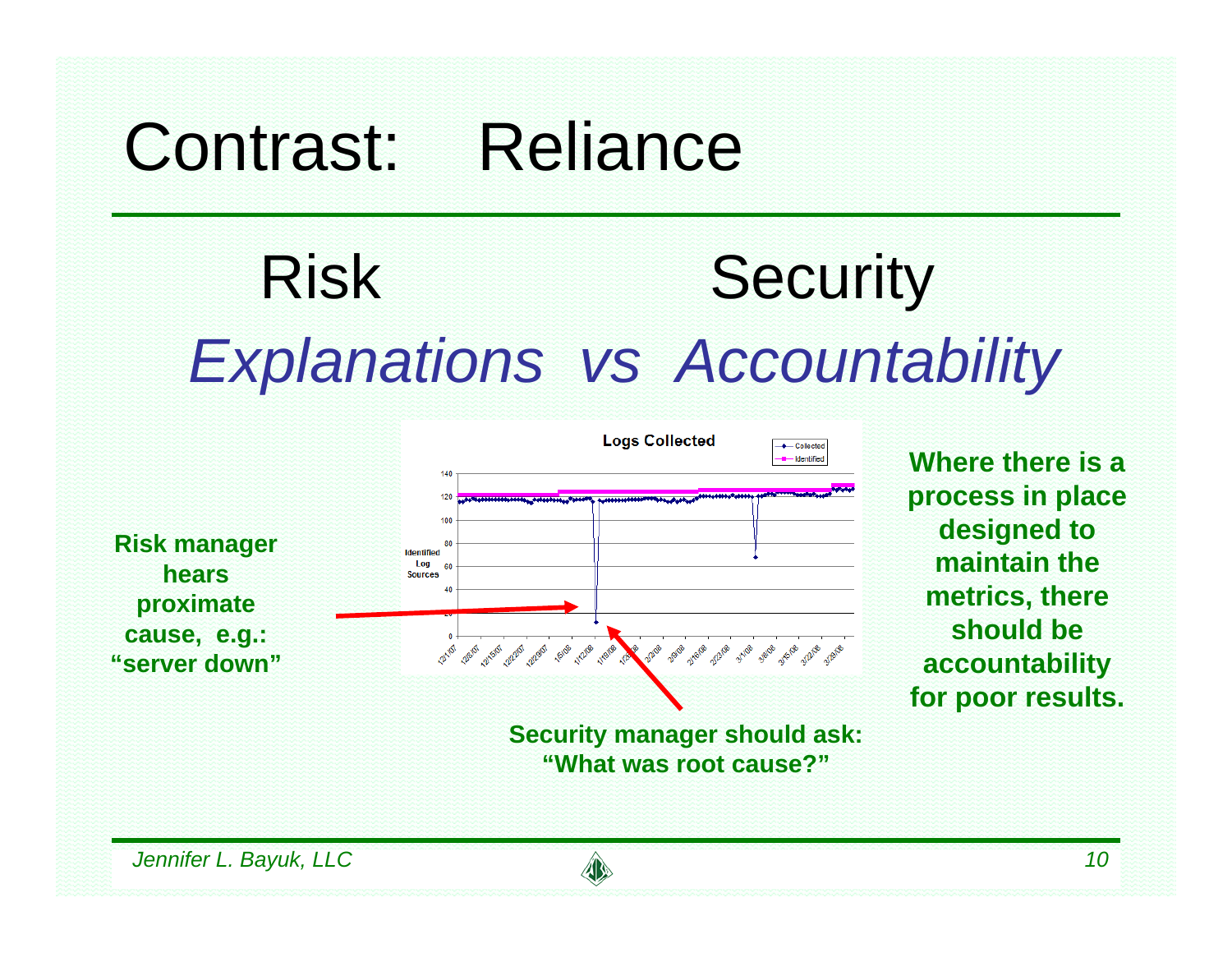## Contrast: Reliance

# Risk Security *Explanations vs Accountability*



**Where there is a process in place designed to maintain the metrics, there should be accountability for poor results.**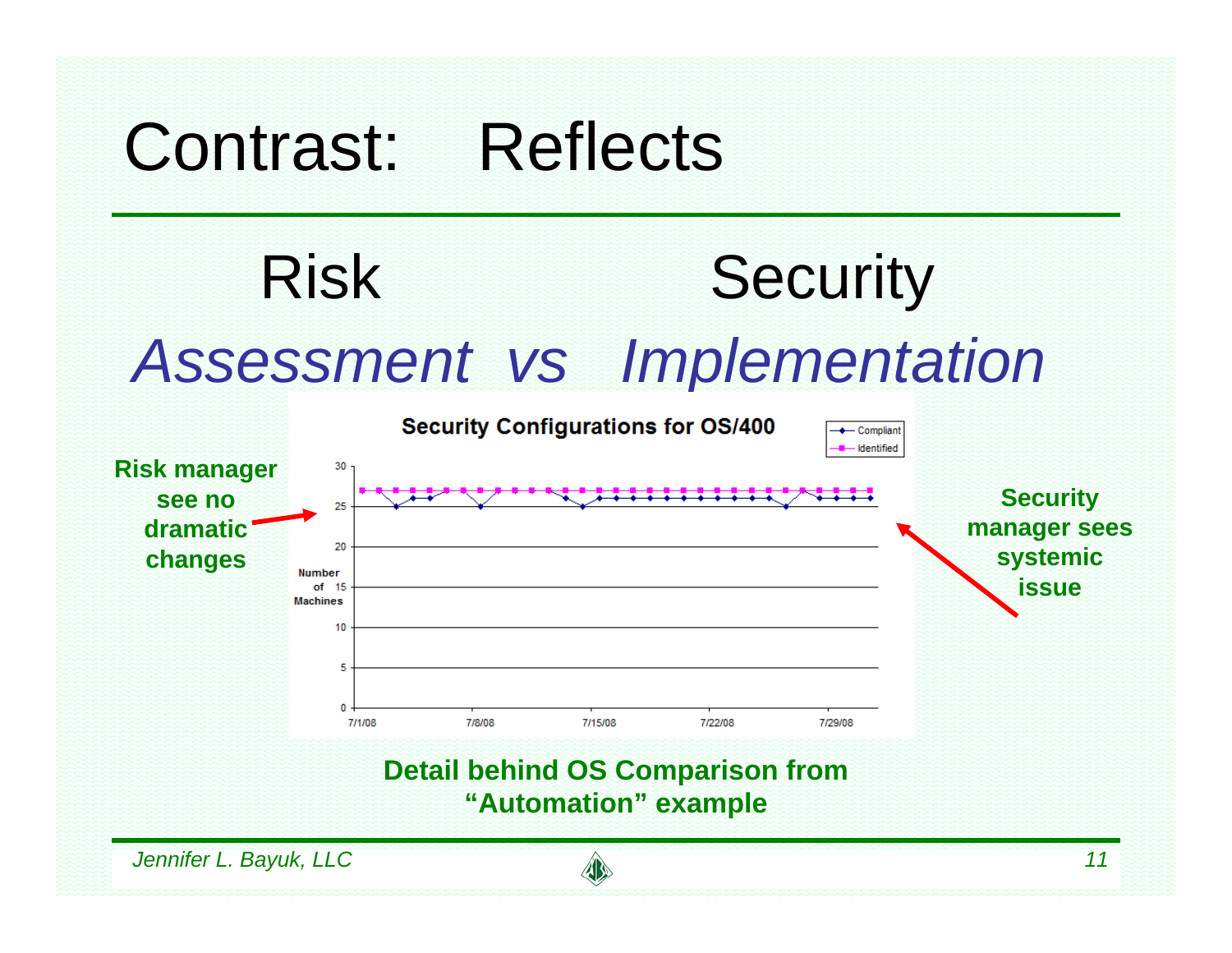